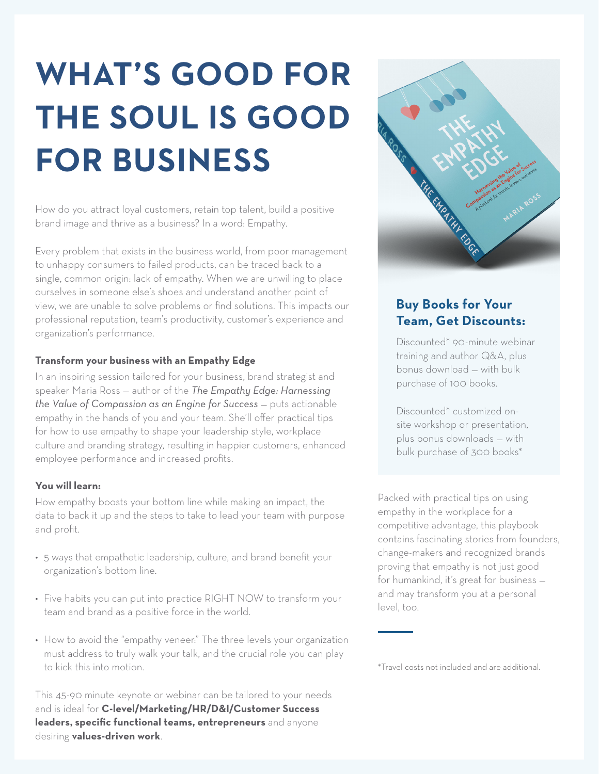# **WHAT'S GOOD FOR THE SOUL IS GOOD FOR BUSINESS**

How do you attract loyal customers, retain top talent, build a positive brand image and thrive as a business? In a word: Empathy.

Every problem that exists in the business world, from poor management to unhappy consumers to failed products, can be traced back to a single, common origin: lack of empathy. When we are unwilling to place ourselves in someone else's shoes and understand another point of view, we are unable to solve problems or find solutions. This impacts our professional reputation, team's productivity, customer's experience and organization's performance.

#### **Transform your business with an Empathy Edge**

In an inspiring session tailored for your business, brand strategist and speaker Maria Ross — author of the *The Empathy Edge: Harnessing the Value of Compassion as an Engine for Success - puts actionable* empathy in the hands of you and your team. She'll offer practical tips for how to use empathy to shape your leadership style, workplace culture and branding strategy, resulting in happier customers, enhanced employee performance and increased profits.

#### **You will learn:**

How empathy boosts your bottom line while making an impact, the data to back it up and the steps to take to lead your team with purpose and profit.

- 5 ways that empathetic leadership, culture, and brand benefit your organization's bottom line.
- Five habits you can put into practice RIGHT NOW to transform your team and brand as a positive force in the world.
- How to avoid the "empathy veneer:" The three levels your organization must address to truly walk your talk, and the crucial role you can play to kick this into motion.

This 45-90 minute keynote or webinar can be tailored to your needs and is ideal for **C-level/Marketing/HR/D&I/Customer Success leaders, specific functional teams, entrepreneurs** and anyone desiring **values-driven work**.



## **Buy Books for Your Team, Get Discounts:**

Discounted\* 90-minute webinar training and author Q&A, plus bonus download — with bulk purchase of 100 books.

Discounted\* customized onsite workshop or presentation, plus bonus downloads — with bulk purchase of 300 books\*

Packed with practical tips on using empathy in the workplace for a competitive advantage, this playbook contains fascinating stories from founders, change-makers and recognized brands proving that empathy is not just good for humankind, it's great for business and may transform you at a personal level, too.

\*Travel costs not included and are additional.